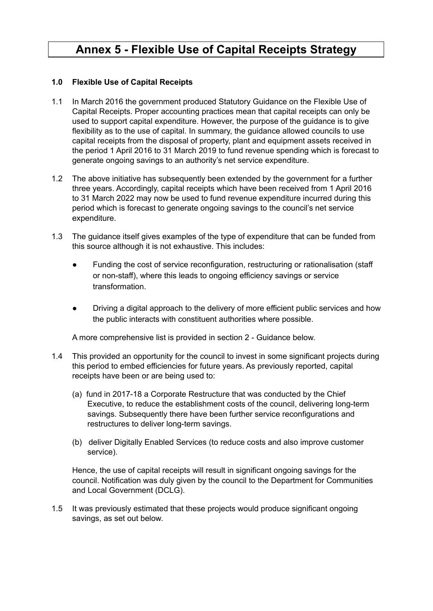# **Annex 5 - Flexible Use of Capital Receipts Strategy**

### **1.0 Flexible Use of Capital Receipts**

- 1.1 In March 2016 the government produced Statutory Guidance on the Flexible Use of Capital Receipts. Proper accounting practices mean that capital receipts can only be used to support capital expenditure. However, the purpose of the guidance is to give flexibility as to the use of capital. In summary, the guidance allowed councils to use capital receipts from the disposal of property, plant and equipment assets received in the period 1 April 2016 to 31 March 2019 to fund revenue spending which is forecast to generate ongoing savings to an authority's net service expenditure.
- 1.2 The above initiative has subsequently been extended by the government for a further three years. Accordingly, capital receipts which have been received from 1 April 2016 to 31 March 2022 may now be used to fund revenue expenditure incurred during this period which is forecast to generate ongoing savings to the council's net service expenditure.
- 1.3 The guidance itself gives examples of the type of expenditure that can be funded from this source although it is not exhaustive. This includes:
	- Funding the cost of service reconfiguration, restructuring or rationalisation (staff or non-staff), where this leads to ongoing efficiency savings or service transformation.
	- Driving a digital approach to the delivery of more efficient public services and how the public interacts with constituent authorities where possible.

A more comprehensive list is provided in section 2 - Guidance below.

- 1.4 This provided an opportunity for the council to invest in some significant projects during this period to embed efficiencies for future years. As previously reported, capital receipts have been or are being used to:
	- (a) fund in 2017-18 a Corporate Restructure that was conducted by the Chief Executive, to reduce the establishment costs of the council, delivering long-term savings. Subsequently there have been further service reconfigurations and restructures to deliver long-term savings.
	- (b) deliver Digitally Enabled Services (to reduce costs and also improve customer service).

Hence, the use of capital receipts will result in significant ongoing savings for the council. Notification was duly given by the council to the Department for Communities and Local Government (DCLG).

1.5 It was previously estimated that these projects would produce significant ongoing savings, as set out below.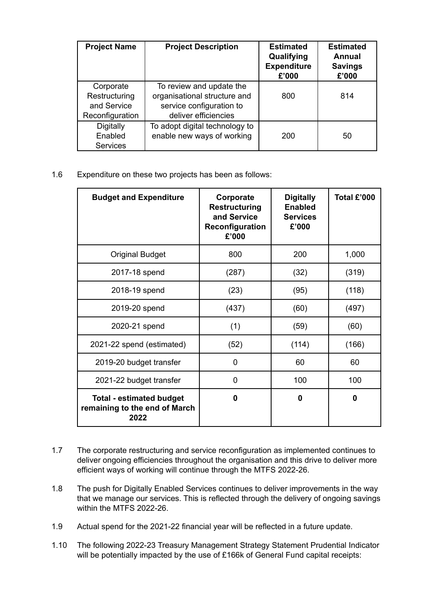| <b>Project Name</b>                                          | <b>Project Description</b>                                                                                   | <b>Estimated</b><br>Qualifying<br><b>Expenditure</b><br>£'000 | <b>Estimated</b><br>Annual<br><b>Savings</b><br>£'000 |
|--------------------------------------------------------------|--------------------------------------------------------------------------------------------------------------|---------------------------------------------------------------|-------------------------------------------------------|
| Corporate<br>Restructuring<br>and Service<br>Reconfiguration | To review and update the<br>organisational structure and<br>service configuration to<br>deliver efficiencies | 800                                                           | 814                                                   |
| Digitally<br>Enabled<br><b>Services</b>                      | To adopt digital technology to<br>enable new ways of working                                                 | 200                                                           | 50                                                    |

### 1.6 Expenditure on these two projects has been as follows:

| <b>Budget and Expenditure</b>                                            | Corporate<br><b>Restructuring</b><br>and Service<br>Reconfiguration<br>£'000 | <b>Digitally</b><br><b>Enabled</b><br><b>Services</b><br>£'000 | Total £'000 |
|--------------------------------------------------------------------------|------------------------------------------------------------------------------|----------------------------------------------------------------|-------------|
| <b>Original Budget</b>                                                   | 800                                                                          | 200                                                            | 1,000       |
| 2017-18 spend                                                            | (287)                                                                        | (32)                                                           | (319)       |
| 2018-19 spend                                                            | (23)                                                                         | (95)                                                           | (118)       |
| 2019-20 spend                                                            | (437)                                                                        | (60)                                                           | (497)       |
| 2020-21 spend                                                            | (1)                                                                          | (59)                                                           | (60)        |
| 2021-22 spend (estimated)                                                | (52)                                                                         | (114)                                                          | (166)       |
| 2019-20 budget transfer                                                  | 0                                                                            | 60                                                             | 60          |
| 2021-22 budget transfer                                                  | 0                                                                            | 100                                                            | 100         |
| <b>Total - estimated budget</b><br>remaining to the end of March<br>2022 | 0                                                                            | 0                                                              | 0           |

- 1.7 The corporate restructuring and service reconfiguration as implemented continues to deliver ongoing efficiencies throughout the organisation and this drive to deliver more efficient ways of working will continue through the MTFS 2022-26.
- 1.8 The push for Digitally Enabled Services continues to deliver improvements in the way that we manage our services. This is reflected through the delivery of ongoing savings within the MTFS 2022-26.
- 1.9 Actual spend for the 2021-22 financial year will be reflected in a future update.
- 1.10 The following 2022-23 Treasury Management Strategy Statement Prudential Indicator will be potentially impacted by the use of £166k of General Fund capital receipts: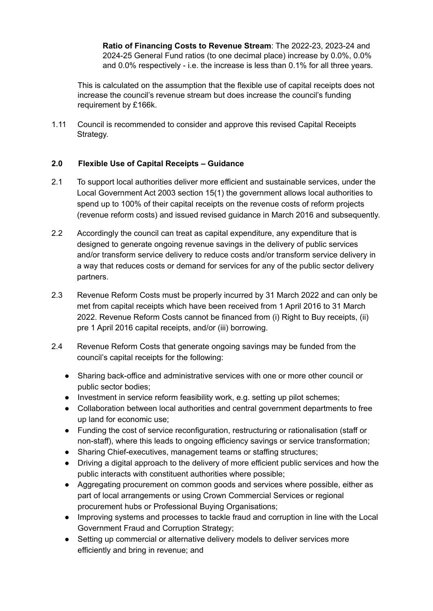**Ratio of Financing Costs to Revenue Stream**: The 2022-23, 2023-24 and 2024-25 General Fund ratios (to one decimal place) increase by 0.0%, 0.0% and 0.0% respectively - i.e. the increase is less than 0.1% for all three years.

This is calculated on the assumption that the flexible use of capital receipts does not increase the council's revenue stream but does increase the council's funding requirement by £166k.

1.11 Council is recommended to consider and approve this revised Capital Receipts Strategy.

### **2.0 Flexible Use of Capital Receipts – Guidance**

- 2.1 To support local authorities deliver more efficient and sustainable services, under the Local Government Act 2003 section 15(1) the government allows local authorities to spend up to 100% of their capital receipts on the revenue costs of reform projects (revenue reform costs) and issued revised guidance in March 2016 and subsequently.
- 2.2 Accordingly the council can treat as capital expenditure, any expenditure that is designed to generate ongoing revenue savings in the delivery of public services and/or transform service delivery to reduce costs and/or transform service delivery in a way that reduces costs or demand for services for any of the public sector delivery partners.
- 2.3 Revenue Reform Costs must be properly incurred by 31 March 2022 and can only be met from capital receipts which have been received from 1 April 2016 to 31 March 2022. Revenue Reform Costs cannot be financed from (i) Right to Buy receipts, (ii) pre 1 April 2016 capital receipts, and/or (iii) borrowing.
- 2.4 Revenue Reform Costs that generate ongoing savings may be funded from the council's capital receipts for the following:
	- Sharing back-office and administrative services with one or more other council or public sector bodies;
	- Investment in service reform feasibility work, e.g. setting up pilot schemes;
	- Collaboration between local authorities and central government departments to free up land for economic use;
	- Funding the cost of service reconfiguration, restructuring or rationalisation (staff or non-staff), where this leads to ongoing efficiency savings or service transformation;
	- Sharing Chief-executives, management teams or staffing structures;
	- Driving a digital approach to the delivery of more efficient public services and how the public interacts with constituent authorities where possible;
	- Aggregating procurement on common goods and services where possible, either as part of local arrangements or using Crown Commercial Services or regional procurement hubs or Professional Buying Organisations;
	- Improving systems and processes to tackle fraud and corruption in line with the Local Government Fraud and Corruption Strategy;
	- Setting up commercial or alternative delivery models to deliver services more efficiently and bring in revenue; and